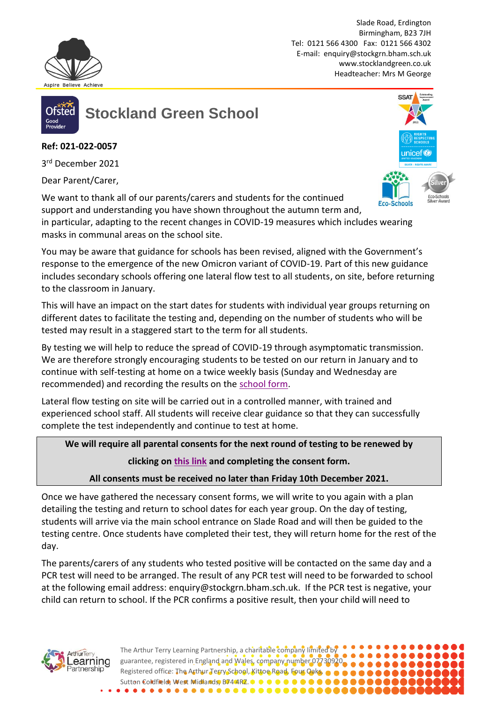

Slade Road, Erdington Birmingham, B23 7JH Tel: 0121 566 4300 Fax: 0121 566 4302 E-mail: [enquiry@stockgrn.bham.sch.uk](mailto:enquiry@stockgrn.bham.sch.uk) [www.stocklandgreen.co.uk](http://www.stocklandgreen.co.uk/) Headteacher: Mrs M George



**Stockland Green School**

**Ref: 021-022-0057**

3 rd December 2021

Dear Parent/Carer, 

We want to thank all of our parents/carers and students for the continued support and understanding you have shown throughout the autumn term and,

in particular, adapting to the recent changes in COVID-19 measures which includes wearing masks in communal areas on the school site.

You may be aware that guidance for schools has been revised, aligned with the Government's response to the emergence of the new Omicron variant of COVID-19. Part of this new guidance includes secondary schools offering one lateral flow test to all students, on site, before returning to the classroom in January.

This will have an impact on the start dates for students with individual year groups returning on different dates to facilitate the testing and, depending on the number of students who will be tested may result in a staggered start to the term for all students.

By testing we will help to reduce the spread of COVID-19 through asymptomatic transmission. We are therefore strongly encouraging students to be tested on our return in January and to continue with self-testing at home on a twice weekly basis (Sunday and Wednesday are recommended) and recording the results on the [school form.](https://docs.google.com/forms/d/e/1FAIpQLSe3n7I2N-2X7wporNhrnNwIGDGeKfBqWk0xp5LvUomIrUmUGg/viewform)

Lateral flow testing on site will be carried out in a controlled manner, with trained and experienced school staff. All students will receive clear guidance so that they can successfully complete the test independently and continue to test at home.

**We will require all parental consents for the next round of testing to be renewed by clicking on [this link](https://docs.google.com/forms/d/e/1FAIpQLSeecAQ8lV0yASr603oZxAnO6J0OqfendYgUap5Kdz595irEhQ/viewform) and completing the consent form.** 

**All consents must be received no later than Friday 10th December 2021.**

Once we have gathered the necessary consent forms, we will write to you again with a plan detailing the testing and return to school dates for each year group. On the day of testing, students will arrive via the main school entrance on Slade Road and will then be guided to the testing centre. Once students have completed their test, they will return home for the rest of the day.

The parents/carers of any students who tested positive will be contacted on the same day and a PCR test will need to be arranged. The result of any PCR test will need to be forwarded to school at the following email address: enquiry@stockgrn.bham.sch.uk. If the PCR test is negative, your child can return to school. If the PCR confirms a positive result, then your child will need to